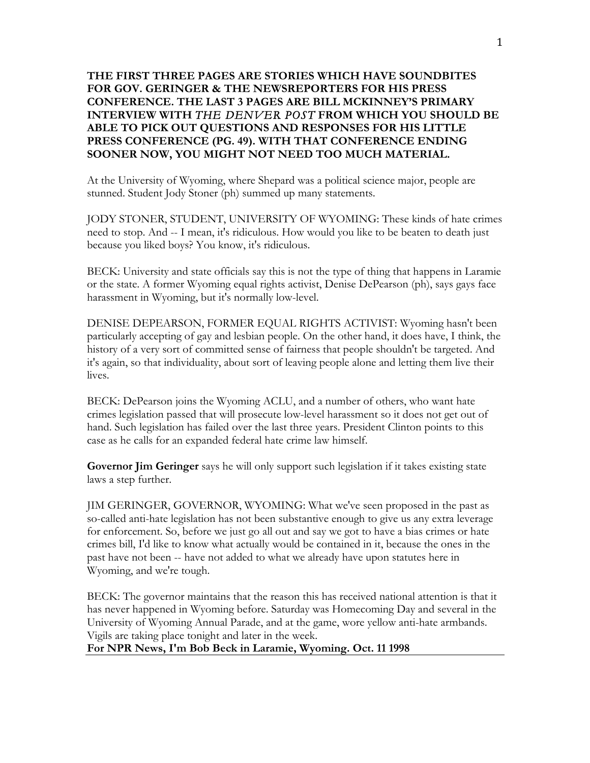## **THE FIRST THREE PAGES ARE STORIES WHICH HAVE SOUNDBITES FOR GOV. GERINGER & THE NEWSREPORTERS FOR HIS PRESS CONFERENCE. THE LAST 3 PAGES ARE BILL MCKINNEY'S PRIMARY INTERVIEW WITH** *THE DENVER POST* **FROM WHICH YOU SHOULD BE ABLE TO PICK OUT QUESTIONS AND RESPONSES FOR HIS LITTLE PRESS CONFERENCE (PG. 49). WITH THAT CONFERENCE ENDING SOONER NOW, YOU MIGHT NOT NEED TOO MUCH MATERIAL.**

At the University of Wyoming, where Shepard was a political science major, people are stunned. Student Jody Stoner (ph) summed up many statements.

JODY STONER, STUDENT, UNIVERSITY OF WYOMING: These kinds of hate crimes need to stop. And -- I mean, it's ridiculous. How would you like to be beaten to death just because you liked boys? You know, it's ridiculous.

BECK: University and state officials say this is not the type of thing that happens in Laramie or the state. A former Wyoming equal rights activist, Denise DePearson (ph), says gays face harassment in Wyoming, but it's normally low-level.

DENISE DEPEARSON, FORMER EQUAL RIGHTS ACTIVIST: Wyoming hasn't been particularly accepting of gay and lesbian people. On the other hand, it does have, I think, the history of a very sort of committed sense of fairness that people shouldn't be targeted. And it's again, so that individuality, about sort of leaving people alone and letting them live their lives.

BECK: DePearson joins the Wyoming ACLU, and a number of others, who want hate crimes legislation passed that will prosecute low-level harassment so it does not get out of hand. Such legislation has failed over the last three years. President Clinton points to this case as he calls for an expanded federal hate crime law himself.

**Governor Jim Geringer** says he will only support such legislation if it takes existing state laws a step further.

JIM GERINGER, GOVERNOR, WYOMING: What we've seen proposed in the past as so-called anti-hate legislation has not been substantive enough to give us any extra leverage for enforcement. So, before we just go all out and say we got to have a bias crimes or hate crimes bill, I'd like to know what actually would be contained in it, because the ones in the past have not been -- have not added to what we already have upon statutes here in Wyoming, and we're tough.

BECK: The governor maintains that the reason this has received national attention is that it has never happened in Wyoming before. Saturday was Homecoming Day and several in the University of Wyoming Annual Parade, and at the game, wore yellow anti-hate armbands. Vigils are taking place tonight and later in the week.

**For NPR News, I'm Bob Beck in Laramie, Wyoming. Oct. 11 1998**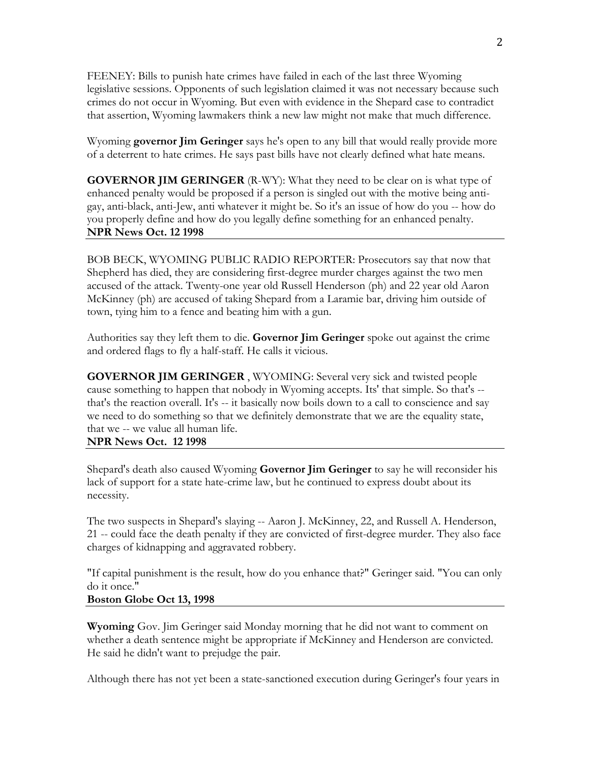FEENEY: Bills to punish hate crimes have failed in each of the last three Wyoming legislative sessions. Opponents of such legislation claimed it was not necessary because such crimes do not occur in Wyoming. But even with evidence in the Shepard case to contradict that assertion, Wyoming lawmakers think a new law might not make that much difference.

Wyoming **governor Jim Geringer** says he's open to any bill that would really provide more of a deterrent to hate crimes. He says past bills have not clearly defined what hate means.

**GOVERNOR JIM GERINGER** (R-WY): What they need to be clear on is what type of enhanced penalty would be proposed if a person is singled out with the motive being antigay, anti-black, anti-Jew, anti whatever it might be. So it's an issue of how do you -- how do you properly define and how do you legally define something for an enhanced penalty. **NPR News Oct. 12 1998**

BOB BECK, WYOMING PUBLIC RADIO REPORTER: Prosecutors say that now that Shepherd has died, they are considering first-degree murder charges against the two men accused of the attack. Twenty-one year old Russell Henderson (ph) and 22 year old Aaron McKinney (ph) are accused of taking Shepard from a Laramie bar, driving him outside of town, tying him to a fence and beating him with a gun.

Authorities say they left them to die. **Governor Jim Geringer** spoke out against the crime and ordered flags to fly a half-staff. He calls it vicious.

**GOVERNOR JIM GERINGER** , WYOMING: Several very sick and twisted people cause something to happen that nobody in Wyoming accepts. Its' that simple. So that's - that's the reaction overall. It's -- it basically now boils down to a call to conscience and say we need to do something so that we definitely demonstrate that we are the equality state, that we -- we value all human life.

**NPR News Oct. 12 1998**

Shepard's death also caused Wyoming **Governor Jim Geringer** to say he will reconsider his lack of support for a state hate-crime law, but he continued to express doubt about its necessity.

The two suspects in Shepard's slaying -- Aaron J. McKinney, 22, and Russell A. Henderson, 21 -- could face the death penalty if they are convicted of first-degree murder. They also face charges of kidnapping and aggravated robbery.

"If capital punishment is the result, how do you enhance that?" Geringer said. "You can only do it once."

## **Boston Globe Oct 13, 1998**

**Wyoming** Gov. Jim Geringer said Monday morning that he did not want to comment on whether a death sentence might be appropriate if McKinney and Henderson are convicted. He said he didn't want to prejudge the pair.

Although there has not yet been a state-sanctioned execution during Geringer's four years in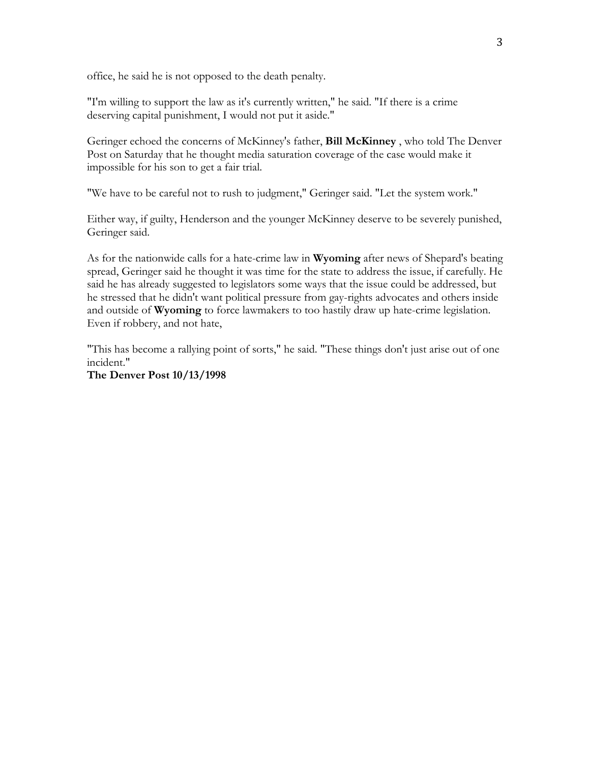office, he said he is not opposed to the death penalty.

"I'm willing to support the law as it's currently written," he said. "If there is a crime deserving capital punishment, I would not put it aside."

Geringer echoed the concerns of McKinney's father, **Bill McKinney** , who told The Denver Post on Saturday that he thought media saturation coverage of the case would make it impossible for his son to get a fair trial.

"We have to be careful not to rush to judgment," Geringer said. "Let the system work."

Either way, if guilty, Henderson and the younger McKinney deserve to be severely punished, Geringer said.

As for the nationwide calls for a hate-crime law in **Wyoming** after news of Shepard's beating spread, Geringer said he thought it was time for the state to address the issue, if carefully. He said he has already suggested to legislators some ways that the issue could be addressed, but he stressed that he didn't want political pressure from gay-rights advocates and others inside and outside of **Wyoming** to force lawmakers to too hastily draw up hate-crime legislation. Even if robbery, and not hate,

"This has become a rallying point of sorts," he said. "These things don't just arise out of one incident."

**The Denver Post 10/13/1998**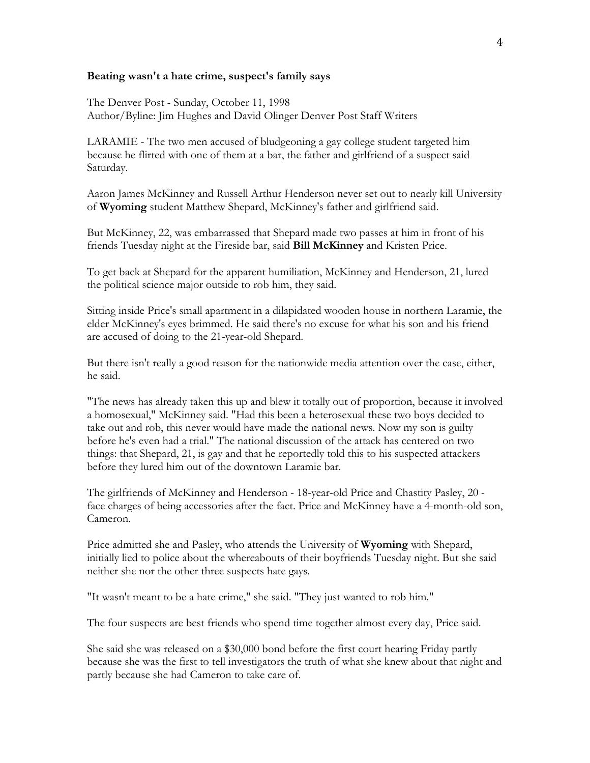## **Beating wasn't a hate crime, suspect's family says**

The Denver Post - Sunday, October 11, 1998 Author/Byline: Jim Hughes and David Olinger Denver Post Staff Writers

LARAMIE - The two men accused of bludgeoning a gay college student targeted him because he flirted with one of them at a bar, the father and girlfriend of a suspect said Saturday.

Aaron James McKinney and Russell Arthur Henderson never set out to nearly kill University of **Wyoming** student Matthew Shepard, McKinney's father and girlfriend said.

But McKinney, 22, was embarrassed that Shepard made two passes at him in front of his friends Tuesday night at the Fireside bar, said **Bill McKinney** and Kristen Price.

To get back at Shepard for the apparent humiliation, McKinney and Henderson, 21, lured the political science major outside to rob him, they said.

Sitting inside Price's small apartment in a dilapidated wooden house in northern Laramie, the elder McKinney's eyes brimmed. He said there's no excuse for what his son and his friend are accused of doing to the 21-year-old Shepard.

But there isn't really a good reason for the nationwide media attention over the case, either, he said.

"The news has already taken this up and blew it totally out of proportion, because it involved a homosexual," McKinney said. "Had this been a heterosexual these two boys decided to take out and rob, this never would have made the national news. Now my son is guilty before he's even had a trial." The national discussion of the attack has centered on two things: that Shepard, 21, is gay and that he reportedly told this to his suspected attackers before they lured him out of the downtown Laramie bar.

The girlfriends of McKinney and Henderson - 18-year-old Price and Chastity Pasley, 20 face charges of being accessories after the fact. Price and McKinney have a 4-month-old son, Cameron.

Price admitted she and Pasley, who attends the University of **Wyoming** with Shepard, initially lied to police about the whereabouts of their boyfriends Tuesday night. But she said neither she nor the other three suspects hate gays.

"It wasn't meant to be a hate crime," she said. "They just wanted to rob him."

The four suspects are best friends who spend time together almost every day, Price said.

She said she was released on a \$30,000 bond before the first court hearing Friday partly because she was the first to tell investigators the truth of what she knew about that night and partly because she had Cameron to take care of.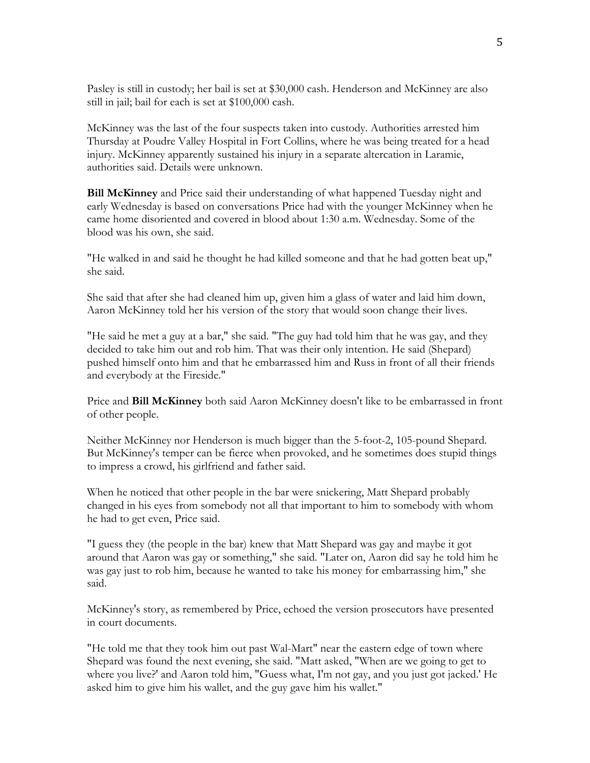Pasley is still in custody; her bail is set at \$30,000 cash. Henderson and McKinney are also still in jail; bail for each is set at \$100,000 cash.

McKinney was the last of the four suspects taken into custody. Authorities arrested him Thursday at Poudre Valley Hospital in Fort Collins, where he was being treated for a head injury. McKinney apparently sustained his injury in a separate altercation in Laramie, authorities said. Details were unknown.

**Bill McKinney** and Price said their understanding of what happened Tuesday night and early Wednesday is based on conversations Price had with the younger McKinney when he came home disoriented and covered in blood about 1:30 a.m. Wednesday. Some of the blood was his own, she said.

"He walked in and said he thought he had killed someone and that he had gotten beat up," she said.

She said that after she had cleaned him up, given him a glass of water and laid him down, Aaron McKinney told her his version of the story that would soon change their lives.

"He said he met a guy at a bar," she said. "The guy had told him that he was gay, and they decided to take him out and rob him. That was their only intention. He said (Shepard) pushed himself onto him and that he embarrassed him and Russ in front of all their friends and everybody at the Fireside."

Price and **Bill McKinney** both said Aaron McKinney doesn't like to be embarrassed in front of other people.

Neither McKinney nor Henderson is much bigger than the 5-foot-2, 105-pound Shepard. But McKinney's temper can be fierce when provoked, and he sometimes does stupid things to impress a crowd, his girlfriend and father said.

When he noticed that other people in the bar were snickering, Matt Shepard probably changed in his eyes from somebody not all that important to him to somebody with whom he had to get even, Price said.

"I guess they (the people in the bar) knew that Matt Shepard was gay and maybe it got around that Aaron was gay or something," she said. "Later on, Aaron did say he told him he was gay just to rob him, because he wanted to take his money for embarrassing him," she said.

McKinney's story, as remembered by Price, echoed the version prosecutors have presented in court documents.

"He told me that they took him out past Wal-Mart" near the eastern edge of town where Shepard was found the next evening, she said. "Matt asked, "When are we going to get to where you live?' and Aaron told him, "Guess what, I'm not gay, and you just got jacked.' He asked him to give him his wallet, and the guy gave him his wallet."